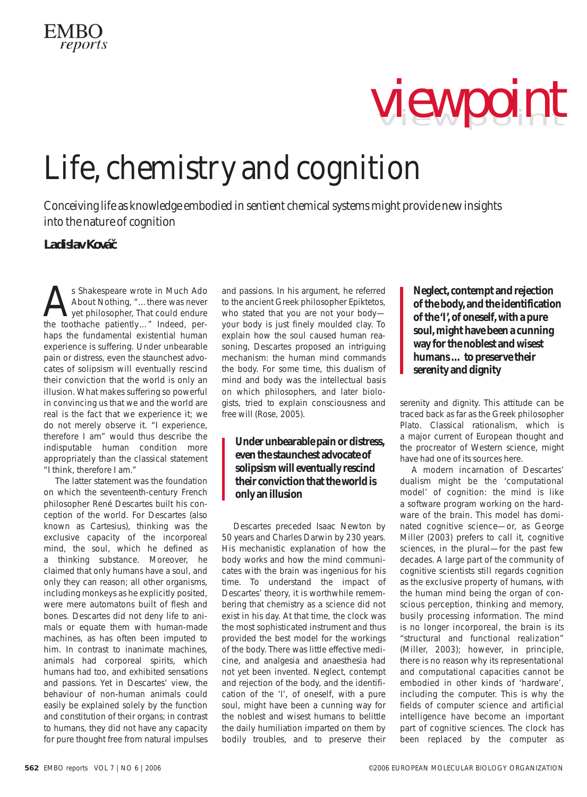



# Life, chemistry and cognition

Conceiving life as knowledge embodied in sentient chemical systems might provide new insights into the nature of cognition

### *Ladislav Kovácˇ*

S Shakespeare wrote in *Much Add*<br>*About Nothing*, "...there was never<br>the toothache patiently..." Indeed. per-*About Nothing*, "…there was never yet philosopher, That could endure the toothache patiently…" Indeed, perhaps the fundamental existential human experience is suffering. Under unbearable pain or distress, even the staunchest advocates of solipsism will eventually rescind their conviction that the world is only an illusion. What makes suffering so powerful in convincing us that we and the world are real is the fact that we experience it; we do not merely observe it. "I experience, therefore I am" would thus describe the indisputable human condition more appropriately than the classical statement "I think, therefore I am."

The latter statement was the foundation on which the seventeenth-century French philosopher René Descartes built his conception of the world. For Descartes (also known as Cartesius), thinking was the exclusive capacity of the incorporeal mind, the soul, which he defined as a thinking substance. Moreover, he claimed that only humans have a soul, and only they can reason; all other organisms, including monkeys as he explicitly posited, were mere automatons built of flesh and bones. Descartes did not deny life to animals or equate them with human-made machines, as has often been imputed to him. In contrast to inanimate machines, animals had corporeal spirits, which humans had too, and exhibited sensations and passions. Yet in Descartes' view, the behaviour of non-human animals could easily be explained solely by the function and constitution of their organs; in contrast to humans, they did not have any capacity for pure thought free from natural impulses

and passions. In his argument, he referred to the ancient Greek philosopher Epiktetos, who stated that you are not your body your body is just finely moulded clay. To explain how the soul caused human reasoning, Descartes proposed an intriguing mechanism: the human mind commands the body. For some time, this dualism of mind and body was the intellectual basis on which philosophers, and later biologists, tried to explain consciousness and free will (Rose, 2005).

### **Under unbearable pain or distress, even the staunchest advocate of solipsism will eventually rescind their conviction that the world is only an illusion**

Descartes preceded Isaac Newton by 50 years and Charles Darwin by 230 years. His mechanistic explanation of how the body works and how the mind communicates with the brain was ingenious for his time. To understand the impact of Descartes' theory, it is worthwhile remembering that chemistry as a science did not exist in his day. At that time, the clock was the most sophisticated instrument and thus provided the best model for the workings of the body. There was little effective medicine, and analgesia and anaesthesia had not yet been invented. Neglect, contempt and rejection of the body, and the identification of the 'I', of oneself, with a pure soul, might have been a cunning way for the noblest and wisest humans to belittle the daily humiliation imparted on them by bodily troubles, and to preserve their

**Neglect, contempt and rejection of the body, and the identification of the 'I', of oneself, with a pure soul, might have been a cunning way for the noblest and wisest humans … to preserve their serenity and dignity**

serenity and dignity. This attitude can be traced back as far as the Greek philosopher Plato. Classical rationalism, which is a major current of European thought and the procreator of Western science, might have had one of its sources here.

A modern incarnation of Descartes' dualism might be the 'computational model' of cognition: the mind is like a software program working on the hardware of the brain. This model has dominated cognitive science—or, as George Miller (2003) prefers to call it, cognitive sciences, in the plural—for the past few decades. A large part of the community of cognitive scientists still regards cognition as the exclusive property of humans, with the human mind being the organ of conscious perception, thinking and memory, busily processing information. The mind is no longer incorporeal, the brain is its "structural and functional realization" (Miller, 2003); however, in principle, there is no reason why its representational and computational capacities cannot be embodied in other kinds of 'hardware', including the computer. This is why the fields of computer science and artificial intelligence have become an important part of cognitive sciences. The clock has been replaced by the computer as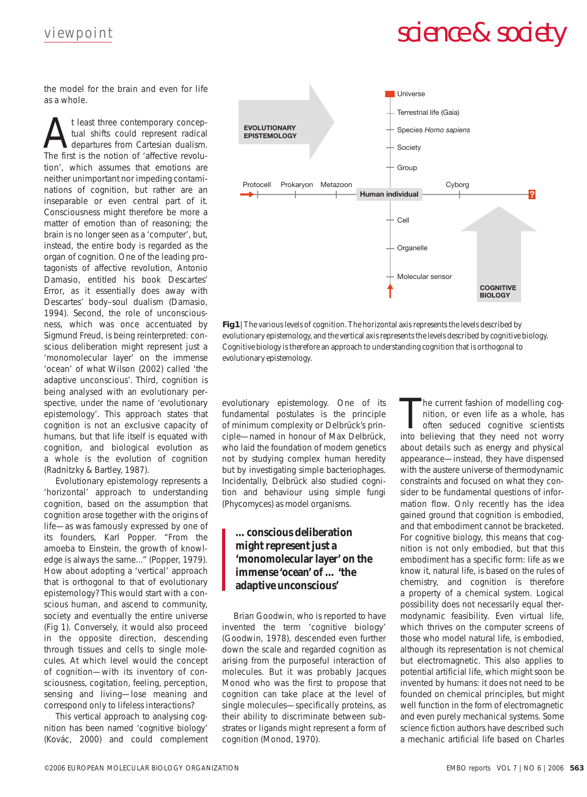# *science & society*

the model for the brain and even for life as a whole.

At least three contemporary conceptual shifts could represent radical<br>departures from Cartesian dualism.<br>The first is the notion of 'affective revolutual shifts could represent radical departures from Cartesian dualism. tion', which assumes that emotions are neither unimportant nor impeding contaminations of cognition, but rather are an inseparable or even central part of it. Consciousness might therefore be more a matter of emotion than of reasoning; the brain is no longer seen as a 'computer', but, instead, the entire body is regarded as the organ of cognition. One of the leading protagonists of affective revolution, Antonio Damasio, entitled his book *Descartes' Error*, as it essentially does away with Descartes' body–soul dualism (Damasio, 1994). Second, the role of unconsciousness, which was once accentuated by Sigmund Freud, is being reinterpreted: conscious deliberation might represent just a 'monomolecular layer' on the immense 'ocean' of what Wilson (2002) called 'the adaptive unconscious'. Third, cognition is being analysed with an evolutionary perspective, under the name of 'evolutionary epistemology'. This approach states that cognition is not an exclusive capacity of humans, but that life itself is equated with cognition, and biological evolution as a whole is the evolution of cognition (Radnitzky & Bartley, 1987).

Evolutionary epistemology represents a 'horizontal' approach to understanding cognition, based on the assumption that cognition arose together with the origins of life—as was famously expressed by one of its founders, Karl Popper. "From the amoeba to Einstein, the growth of knowledge is always the same..." (Popper, 1979). How about adopting a 'vertical' approach that is orthogonal to that of evolutionary epistemology? This would start with a conscious human, and ascend to community, society and eventually the entire universe (Fig 1). Conversely, it would also proceed in the opposite direction, descending through tissues and cells to single molecules. At which level would the concept of cognition—with its inventory of consciousness, cogitation, feeling, perception, sensing and living—lose meaning and correspond only to lifeless interactions?

This vertical approach to analysing cognition has been named 'cognitive biology' (Kovác, 2000) and could complement



**Fig 1** | The various levels of cognition. The horizontal axis represents the levels described by evolutionary epistemology, and the vertical axis represents the levels described by cognitive biology. Cognitive biology is therefore an approach to understanding cognition that is orthogonal to evolutionary epistemology.

evolutionary epistemology. One of its fundamental postulates is the principle of minimum complexity or Delbrück's principle—named in honour of Max Delbrück, who laid the foundation of modern genetics not by studying complex human heredity but by investigating simple bacteriophages. Incidentally, Delbrück also studied cognition and behaviour using simple fungi (*Phycomyces*) as model organisms.

### **…conscious deliberation might represent just a 'monomolecular layer' on the immense 'ocean' of … 'the adaptive unconscious'**

Brian Goodwin, who is reported to have invented the term 'cognitive biology' (Goodwin, 1978), descended even further down the scale and regarded cognition as arising from the purposeful interaction of molecules. But it was probably Jacques Monod who was the first to propose that cognition can take place at the level of single molecules—specifically proteins, as their ability to discriminate between substrates or ligands might represent a form of cognition (Monod, 1970).

The current fashion of modelling cognition, or even life as a whole, has often seduced cognitive scientists into believing that they need not worry nition, or even life as a whole, has often seduced cognitive scientists about details such as energy and physical appearance—instead, they have dispensed with the austere universe of thermodynamic constraints and focused on what they consider to be fundamental questions of information flow. Only recently has the idea gained ground that cognition is embodied, and that embodiment cannot be bracketed. For cognitive biology, this means that cognition is not only embodied, but that this embodiment has a specific form: life as we know it, natural life, is based on the rules of chemistry, and cognition is therefore a property of a chemical system. Logical possibility does not necessarily equal thermodynamic feasibility. Even virtual life, which thrives on the computer screens of those who model natural life, is embodied, although its representation is not chemical but electromagnetic. This also applies to potential artificial life, which might soon be invented by humans: it does not need to be founded on chemical principles, but might well function in the form of electromagnetic and even purely mechanical systems. Some science fiction authors have described such a mechanic artificial life based on Charles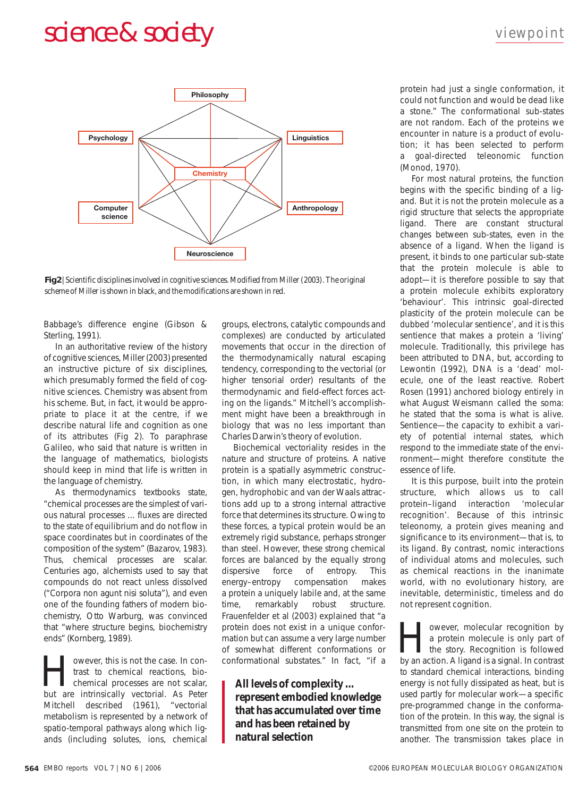### viewpoint

# *science & society*



**Fig 2** | Scientific disciplines involved in cognitive sciences. Modified from Miller (2003). The original scheme of Miller is shown in black, and the modifications are shown in red.

Babbage's difference engine (Gibson & Sterling, 1991).

In an authoritative review of the history of cognitive sciences, Miller (2003) presented an instructive picture of six disciplines, which presumably formed the field of cognitive sciences. Chemistry was absent from his scheme. But, in fact, it would be appropriate to place it at the centre, if we describe natural life and cognition as one of its attributes (Fig 2). To paraphrase Galileo, who said that nature is written in the language of mathematics, biologists should keep in mind that life is written in the language of chemistry.

As thermodynamics textbooks state, "chemical processes are the simplest of various natural processes ... fluxes are directed to the state of equilibrium and do not flow in space coordinates but in coordinates of the composition of the system" (Bazarov, 1983). Thus, chemical processes are scalar. Centuries ago, alchemists used to say that compounds do not react unless dissolved ("*Corpora non agunt nisi soluta*"), and even one of the founding fathers of modern biochemistry, Otto Warburg, was convinced that "where structure begins, biochemistry ends" (Kornberg, 1989).

exponent this is not the case. In contrast to chemical reactions, bio-<br>chemical processes are not scalar,<br>but are intrinsically vectorial. As Peter trast to chemical reactions, biochemical processes are not scalar, Mitchell described (1961), "vectorial metabolism is represented by a network of spatio-temporal pathways along which ligands (including solutes, ions, chemical

groups, electrons, catalytic compounds and complexes) are conducted by articulated movements that occur in the direction of the thermodynamically natural escaping tendency, corresponding to the vectorial (or higher tensorial order) resultants of the thermodynamic and field-effect forces acting on the ligands." Mitchell's accomplishment might have been a breakthrough in biology that was no less important than Charles Darwin's theory of evolution.

Biochemical vectoriality resides in the nature and structure of proteins. A native protein is a spatially asymmetric construction, in which many electrostatic, hydrogen, hydrophobic and van der Waals attractions add up to a strong internal attractive force that determines its structure. Owing to these forces, a typical protein would be an extremely rigid substance, perhaps stronger than steel. However, these strong chemical forces are balanced by the equally strong dispersive force of entropy. This energy–entropy compensation makes a protein a uniquely labile and, at the same time, remarkably robust structure. Frauenfelder *et al* (2003) explained that "a protein does not exist in a unique conformation but can assume a very large number of somewhat different conformations or conformational substates." In fact, "if a

**All levels of complexity … represent embodied knowledge that has accumulated over time and has been retained by natural selection**

protein had just a single conformation, it could not function and would be dead like a stone." The conformational sub-states are not random. Each of the proteins we encounter in nature is a product of evolution; it has been selected to perform a goal-directed teleonomic function (Monod, 1970).

For most natural proteins, the function begins with the specific binding of a ligand. But it is not the protein molecule as a rigid structure that selects the appropriate ligand. There are constant structural changes between sub-states, even in the absence of a ligand. When the ligand is present, it binds to one particular sub-state that the protein molecule is able to adopt—it is therefore possible to say that a protein molecule exhibits exploratory 'behaviour'. This intrinsic goal-directed plasticity of the protein molecule can be dubbed 'molecular sentience', and it is this sentience that makes a protein a 'living' molecule. Traditionally, this privilege has been attributed to DNA, but, according to Lewontin (1992), DNA is a 'dead' molecule, one of the least reactive. Robert Rosen (1991) anchored biology entirely in what August Weismann called the soma: he stated that the soma is what is alive. Sentience—the capacity to exhibit a variety of potential internal states, which respond to the immediate state of the environment—might therefore constitute the essence of life.

It is this purpose, built into the protein structure, which allows us to call protein–ligand interaction 'molecular recognition'. Because of this intrinsic teleonomy, a protein gives meaning and significance to its environment—that is, to its ligand. By contrast, nomic interactions of individual atoms and molecules, such as chemical reactions in the inanimate world, with no evolutionary history, are inevitable, deterministic, timeless and do not represent cognition.

owever, molecular recognition by<br>a protein molecule is only part of<br>the story. Recognition is followed<br>by an action. A ligand is a signal. In contrast a protein molecule is only part of the story. Recognition is followed by an action. A ligand is a signal. In contrast to standard chemical interactions, binding energy is not fully dissipated as heat, but is used partly for molecular work—a specific pre-programmed change in the conformation of the protein. In this way, the signal is transmitted from one site on the protein to another. The transmission takes place in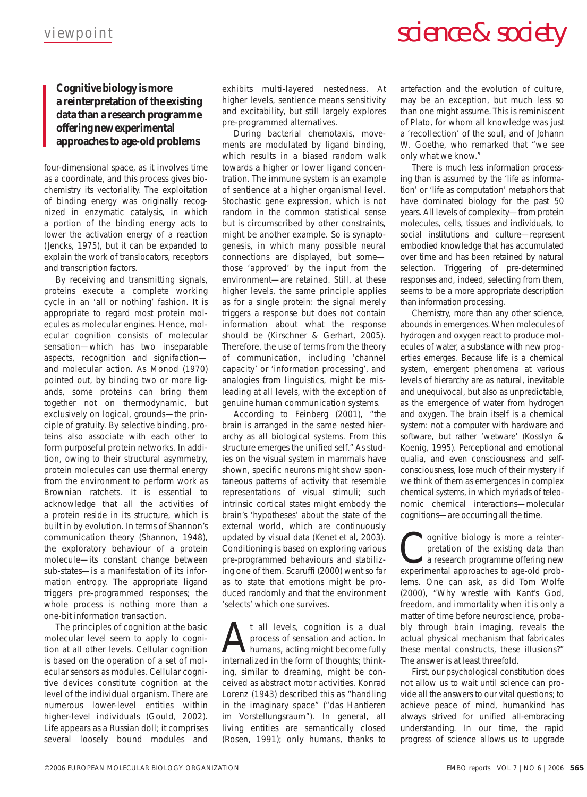# *science & society*

### **Cognitive biology is more a reinterpretation of the existing data than a research programme offering new experimental approaches to age-old problems**

four-dimensional space, as it involves time as a coordinate, and this process gives biochemistry its vectoriality. The exploitation of binding energy was originally recognized in enzymatic catalysis, in which a portion of the binding energy acts to lower the activation energy of a reaction (Jencks, 1975), but it can be expanded to explain the work of translocators, receptors and transcription factors.

By receiving and transmitting signals, proteins execute a complete working cycle in an 'all or nothing' fashion. It is appropriate to regard most protein molecules as molecular engines. Hence, molecular cognition consists of molecular sensation—which has two inseparable aspects, recognition and signifaction and molecular action. As Monod (1970) pointed out, by binding two or more ligands, some proteins can bring them together not on thermodynamic, but exclusively on logical, grounds—the principle of gratuity. By selective binding, proteins also associate with each other to form purposeful protein networks. In addition, owing to their structural asymmetry, protein molecules can use thermal energy from the environment to perform work as Brownian ratchets. It is essential to acknowledge that all the activities of a protein reside in its structure, which is built in by evolution. In terms of Shannon's communication theory (Shannon, 1948), the exploratory behaviour of a protein molecule—its constant change between sub-states—is a manifestation of its information entropy. The appropriate ligand triggers pre-programmed responses; the whole process is nothing more than a one-bit information transaction.

The principles of cognition at the basic molecular level seem to apply to cognition at all other levels. Cellular cognition is based on the operation of a set of molecular sensors as modules. Cellular cognitive devices constitute cognition at the level of the individual organism. There are numerous lower-level entities within higher-level individuals (Gould, 2002). Life appears as a Russian doll; it comprises several loosely bound modules and

exhibits multi-layered nestedness. At higher levels, sentience means sensitivity and excitability, but still largely explores pre-programmed alternatives.

During bacterial chemotaxis, movements are modulated by ligand binding, which results in a biased random walk towards a higher or lower ligand concentration. The immune system is an example of sentience at a higher organismal level. Stochastic gene expression, which is not random in the common statistical sense but is circumscribed by other constraints, might be another example. So is synaptogenesis, in which many possible neural connections are displayed, but some those 'approved' by the input from the environment—are retained. Still, at these higher levels, the same principle applies as for a single protein: the signal merely triggers a response but does not contain information about what the response should be (Kirschner & Gerhart, 2005). Therefore, the use of terms from the theory of communication, including 'channel capacity' or 'information processing', and analogies from linguistics, might be misleading at all levels, with the exception of genuine human communication systems.

According to Feinberg (2001), "the brain is arranged in the same nested hierarchy as all biological systems. From this structure emerges the unified self." As studies on the visual system in mammals have shown, specific neurons might show spontaneous patterns of activity that resemble representations of visual stimuli; such intrinsic cortical states might embody the brain's 'hypotheses' about the state of the external world, which are continuously updated by visual data (Kenet *et al*, 2003). Conditioning is based on exploring various pre-programmed behaviours and stabilizing one of them. Scaruffi (2000) went so far as to state that emotions might be produced randomly and that the environment 'selects' which one survives.

 $\sum_{\text{process of sensation and action. In}}$  t all levels, cognition is a dual process of sensation and action. In process of sensation and action. In humans, acting might become fully internalized in the form of thoughts; thinking, similar to dreaming, might be conceived as abstract motor activities. Konrad Lorenz (1943) described this as "handling in the imaginary space" ("*das Hantieren im Vorstellungsraum*"). In general, all living entities are semantically closed (Rosen, 1991); only humans, thanks to

artefaction and the evolution of culture, may be an exception, but much less so than one might assume. This is reminiscent of Plato, for whom all knowledge was just a 'recollection' of the soul, and of Johann W. Goethe, who remarked that "we see only what we know."

There is much less information processing than is assumed by the 'life as information' or 'life as computation' metaphors that have dominated biology for the past 50 years. All levels of complexity—from protein molecules, cells, tissues and individuals, to social institutions and culture—represent embodied knowledge that has accumulated over time and has been retained by natural selection. Triggering of pre-determined responses and, indeed, selecting from them, seems to be a more appropriate description than information processing.

Chemistry, more than any other science, abounds in emergences. When molecules of hydrogen and oxygen react to produce molecules of water, a substance with new properties emerges. Because life is a chemical system, emergent phenomena at various levels of hierarchy are as natural, inevitable and unequivocal, but also as unpredictable, as the emergence of water from hydrogen and oxygen. The brain itself is a chemical system: not a computer with hardware and software, but rather 'wetware' (Kosslyn & Koenig, 1995). Perceptional and emotional qualia, and even consciousness and selfconsciousness, lose much of their mystery if we think of them as emergences in complex chemical systems, in which myriads of teleonomic chemical interactions—molecular cognitions—are occurring all the time.

ognitive biology is more a reinterpretation of the existing data than a research programme offering new experimental approaches to age-old problems. One can ask, as did Tom Wolfe (2000), "Why wrestle with Kant's God, freedom, and immortality when it is only a matter of time before neuroscience, probably through brain imaging, reveals the actual physical mechanism that fabricates these mental constructs, these illusions?" The answer is at least threefold.

First, our psychological constitution does not allow us to wait until science can provide all the answers to our vital questions; to achieve peace of mind, humankind has always strived for unified all-embracing understanding. In our time, the rapid progress of science allows us to upgrade